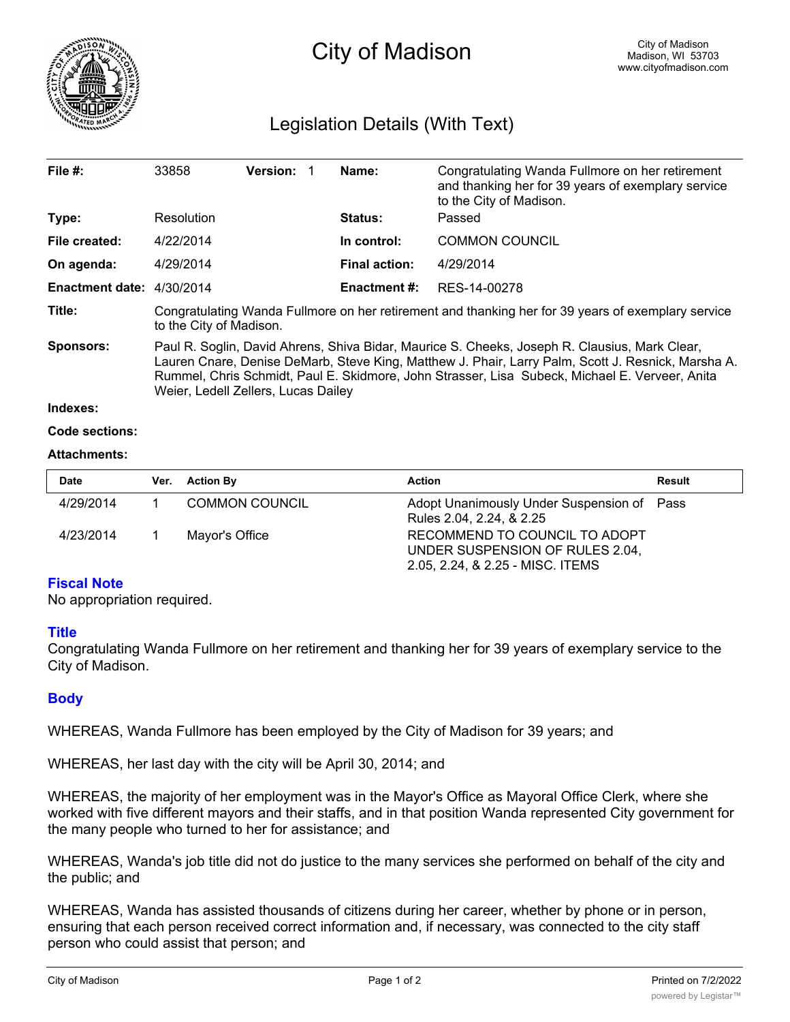

# City of Madison

# Legislation Details (With Text)

| File $#$ :                | 33858                                                                                                                                                                                                                                                                                                                                        | <b>Version:</b> |  | Name:                | Congratulating Wanda Fullmore on her retirement<br>and thanking her for 39 years of exemplary service<br>to the City of Madison. |  |  |
|---------------------------|----------------------------------------------------------------------------------------------------------------------------------------------------------------------------------------------------------------------------------------------------------------------------------------------------------------------------------------------|-----------------|--|----------------------|----------------------------------------------------------------------------------------------------------------------------------|--|--|
| Type:                     | Resolution                                                                                                                                                                                                                                                                                                                                   |                 |  | <b>Status:</b>       | Passed                                                                                                                           |  |  |
| File created:             | 4/22/2014                                                                                                                                                                                                                                                                                                                                    |                 |  | In control:          | <b>COMMON COUNCIL</b>                                                                                                            |  |  |
| On agenda:                | 4/29/2014                                                                                                                                                                                                                                                                                                                                    |                 |  | <b>Final action:</b> | 4/29/2014                                                                                                                        |  |  |
| Enactment date: 4/30/2014 |                                                                                                                                                                                                                                                                                                                                              |                 |  | Enactment #:         | RES-14-00278                                                                                                                     |  |  |
| Title:                    | Congratulating Wanda Fullmore on her retirement and thanking her for 39 years of exemplary service<br>to the City of Madison.                                                                                                                                                                                                                |                 |  |                      |                                                                                                                                  |  |  |
| <b>Sponsors:</b>          | Paul R. Soglin, David Ahrens, Shiva Bidar, Maurice S. Cheeks, Joseph R. Clausius, Mark Clear,<br>Lauren Cnare, Denise DeMarb, Steve King, Matthew J. Phair, Larry Palm, Scott J. Resnick, Marsha A.<br>Rummel, Chris Schmidt, Paul E. Skidmore, John Strasser, Lisa Subeck, Michael E. Verveer, Anita<br>Weier, Ledell Zellers, Lucas Dailey |                 |  |                      |                                                                                                                                  |  |  |
| Indexes:                  |                                                                                                                                                                                                                                                                                                                                              |                 |  |                      |                                                                                                                                  |  |  |
|                           |                                                                                                                                                                                                                                                                                                                                              |                 |  |                      |                                                                                                                                  |  |  |

## **Code sections:**

#### **Attachments:**

| <b>Date</b> | Ver. Action By        | <b>Action</b>                                                                                        | Result |
|-------------|-----------------------|------------------------------------------------------------------------------------------------------|--------|
| 4/29/2014   | <b>COMMON COUNCIL</b> | Adopt Unanimously Under Suspension of Pass<br>Rules 2.04, 2.24, & 2.25                               |        |
| 4/23/2014   | Mayor's Office        | RECOMMEND TO COUNCIL TO ADOPT<br>UNDER SUSPENSION OF RULES 2.04,<br>2.05, 2.24, & 2.25 - MISC. ITEMS |        |

#### **Fiscal Note**

No appropriation required.

#### **Title**

Congratulating Wanda Fullmore on her retirement and thanking her for 39 years of exemplary service to the City of Madison.

### **Body**

WHEREAS, Wanda Fullmore has been employed by the City of Madison for 39 years; and

WHEREAS, her last day with the city will be April 30, 2014; and

WHEREAS, the majority of her employment was in the Mayor's Office as Mayoral Office Clerk, where she worked with five different mayors and their staffs, and in that position Wanda represented City government for the many people who turned to her for assistance; and

WHEREAS, Wanda's job title did not do justice to the many services she performed on behalf of the city and the public; and

WHEREAS, Wanda has assisted thousands of citizens during her career, whether by phone or in person, ensuring that each person received correct information and, if necessary, was connected to the city staff person who could assist that person; and